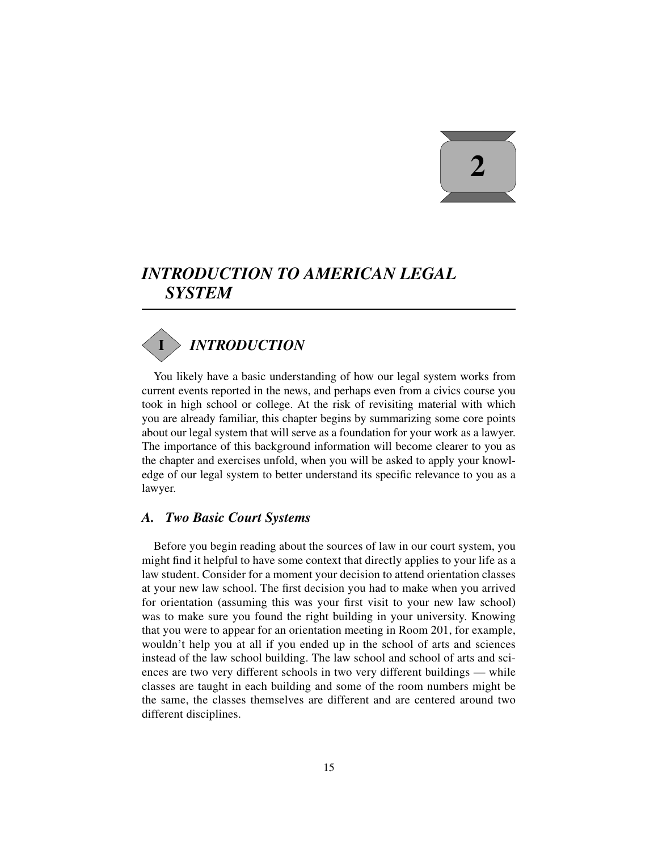# **2**

# *INTRODUCTION TO AMERICAN LEGAL SYSTEM*

# *INTRODUCTION* **I**

You likely have a basic understanding of how our legal system works from current events reported in the news, and perhaps even from a civics course you took in high school or college. At the risk of revisiting material with which you are already familiar, this chapter begins by summarizing some core points about our legal system that will serve as a foundation for your work as a lawyer. The importance of this background information will become clearer to you as the chapter and exercises unfold, when you will be asked to apply your knowledge of our legal system to better understand its specific relevance to you as a lawyer.

## *A. Two Basic Court Systems*

Before you begin reading about the sources of law in our court system, you might find it helpful to have some context that directly applies to your life as a law student. Consider for a moment your decision to attend orientation classes at your new law school. The first decision you had to make when you arrived for orientation (assuming this was your first visit to your new law school) was to make sure you found the right building in your university. Knowing that you were to appear for an orientation meeting in Room 201, for example, wouldn't help you at all if you ended up in the school of arts and sciences instead of the law school building. The law school and school of arts and sciences are two very different schools in two very different buildings — while classes are taught in each building and some of the room numbers might be the same, the classes themselves are different and are centered around two different disciplines.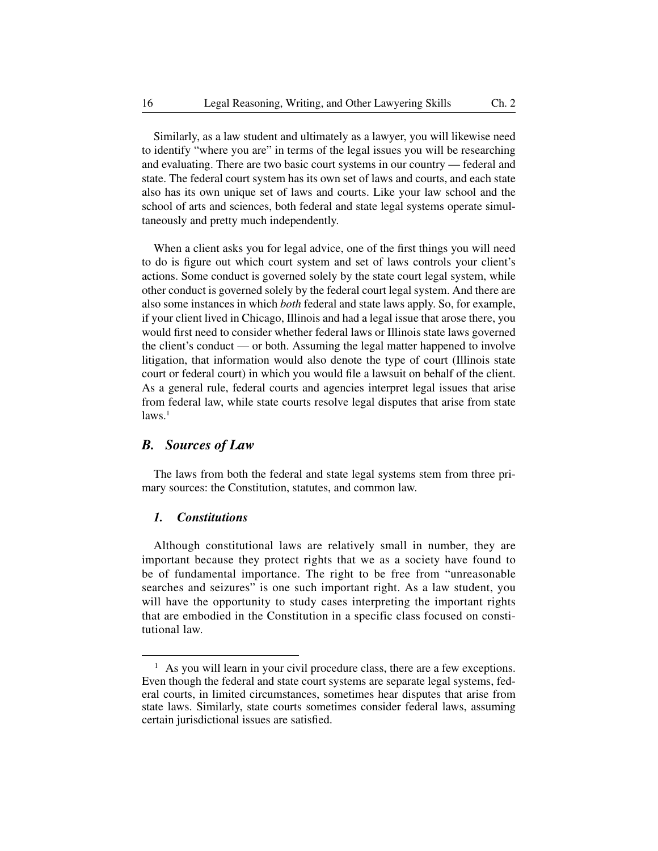Similarly, as a law student and ultimately as a lawyer, you will likewise need to identify "where you are" in terms of the legal issues you will be researching and evaluating. There are two basic court systems in our country — federal and state. The federal court system has its own set of laws and courts, and each state also has its own unique set of laws and courts. Like your law school and the school of arts and sciences, both federal and state legal systems operate simultaneously and pretty much independently.

When a client asks you for legal advice, one of the first things you will need to do is figure out which court system and set of laws controls your client's actions. Some conduct is governed solely by the state court legal system, while other conduct is governed solely by the federal court legal system. And there are also some instances in which *both* federal and state laws apply. So, for example, if your client lived in Chicago, Illinois and had a legal issue that arose there, you would first need to consider whether federal laws or Illinois state laws governed the client's conduct — or both. Assuming the legal matter happened to involve litigation, that information would also denote the type of court (Illinois state court or federal court) in which you would file a lawsuit on behalf of the client. As a general rule, federal courts and agencies interpret legal issues that arise from federal law, while state courts resolve legal disputes that arise from state  $laws.<sup>1</sup>$ 

# *B. Sources of Law*

The laws from both the federal and state legal systems stem from three primary sources: the Constitution, statutes, and common law.

#### *1. Constitutions*

Although constitutional laws are relatively small in number, they are important because they protect rights that we as a society have found to be of fundamental importance. The right to be free from "unreasonable searches and seizures" is one such important right. As a law student, you will have the opportunity to study cases interpreting the important rights that are embodied in the Constitution in a specific class focused on constitutional law.

<sup>&</sup>lt;sup>1</sup> As you will learn in your civil procedure class, there are a few exceptions. Even though the federal and state court systems are separate legal systems, federal courts, in limited circumstances, sometimes hear disputes that arise from state laws. Similarly, state courts sometimes consider federal laws, assuming certain jurisdictional issues are satisfied.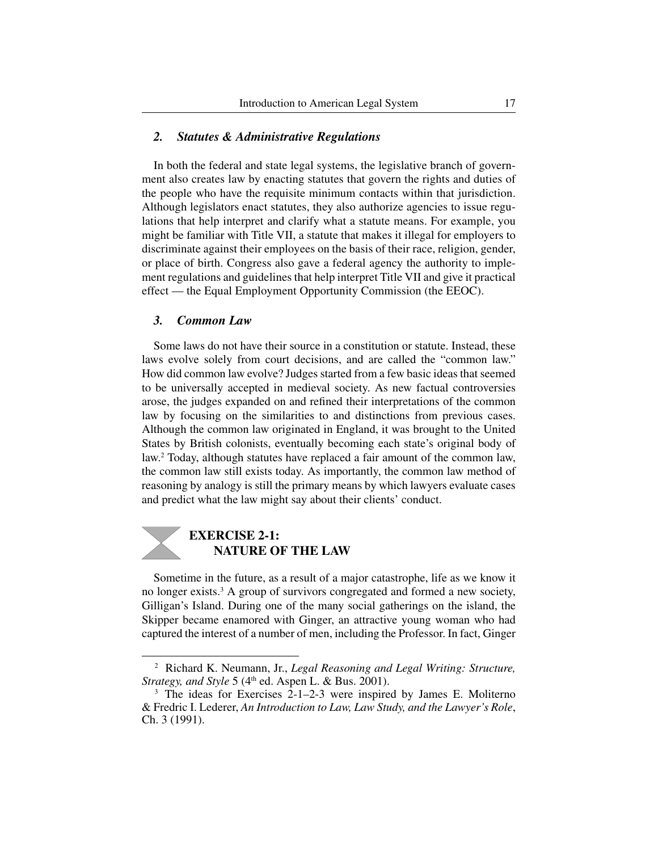#### *2. Statutes & Administrative Regulations*

In both the federal and state legal systems, the legislative branch of government also creates law by enacting statutes that govern the rights and duties of the people who have the requisite minimum contacts within that jurisdiction. Although legislators enact statutes, they also authorize agencies to issue regulations that help interpret and clarify what a statute means. For example, you might be familiar with Title VII, a statute that makes it illegal for employers to discriminate against their employees on the basis of their race, religion, gender, or place of birth. Congress also gave a federal agency the authority to implement regulations and guidelines that help interpret Title VII and give it practical effect — the Equal Employment Opportunity Commission (the EEOC).

#### *3. Common Law*

Some laws do not have their source in a constitution or statute. Instead, these laws evolve solely from court decisions, and are called the "common law." How did common law evolve? Judges started from a few basic ideas that seemed to be universally accepted in medieval society. As new factual controversies arose, the judges expanded on and refined their interpretations of the common law by focusing on the similarities to and distinctions from previous cases. Although the common law originated in England, it was brought to the United States by British colonists, eventually becoming each state's original body of law.2 Today, although statutes have replaced a fair amount of the common law, the common law still exists today. As importantly, the common law method of reasoning by analogy is still the primary means by which lawyers evaluate cases and predict what the law might say about their clients' conduct.



Sometime in the future, as a result of a major catastrophe, life as we know it no longer exists.<sup>3</sup> A group of survivors congregated and formed a new society, Gilligan's Island. During one of the many social gatherings on the island, the Skipper became enamored with Ginger, an attractive young woman who had captured the interest of a number of men, including the Professor. In fact, Ginger

<sup>2</sup> Richard K. Neumann, Jr., *Legal Reasoning and Legal Writing: Structure, Strategy, and Style* 5 (4<sup>th</sup> ed. Aspen L. & Bus. 2001).

<sup>&</sup>lt;sup>3</sup> The ideas for Exercises 2-1–2-3 were inspired by James E. Moliterno & Fredric I. Lederer, *An Introduction to Law, Law Study, and the Lawyer's Role*, Ch. 3 (1991).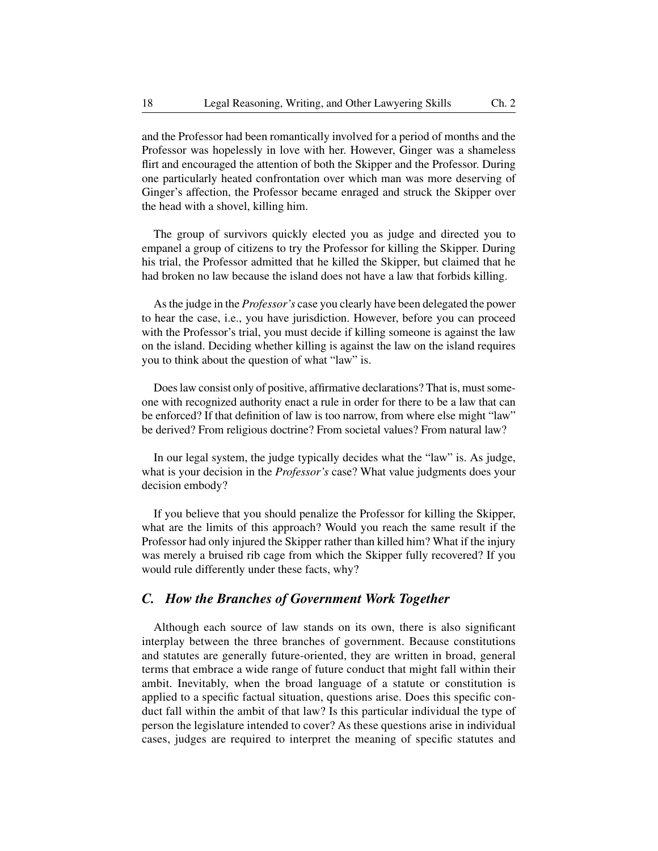and the Professor had been romantically involved for a period of months and the Professor was hopelessly in love with her. However, Ginger was a shameless flirt and encouraged the attention of both the Skipper and the Professor. During one particularly heated confrontation over which man was more deserving of Ginger's affection, the Professor became enraged and struck the Skipper over the head with a shovel, killing him.

The group of survivors quickly elected you as judge and directed you to empanel a group of citizens to try the Professor for killing the Skipper. During his trial, the Professor admitted that he killed the Skipper, but claimed that he had broken no law because the island does not have a law that forbids killing.

As the judge in the *Professor's* case you clearly have been delegated the power to hear the case, i.e., you have jurisdiction. However, before you can proceed with the Professor's trial, you must decide if killing someone is against the law on the island. Deciding whether killing is against the law on the island requires you to think about the question of what "law" is.

Does law consist only of positive, affirmative declarations? That is, must someone with recognized authority enact a rule in order for there to be a law that can be enforced? If that definition of law is too narrow, from where else might "law" be derived? From religious doctrine? From societal values? From natural law?

In our legal system, the judge typically decides what the "law" is. As judge, what is your decision in the *Professor's* case? What value judgments does your decision embody?

If you believe that you should penalize the Professor for killing the Skipper, what are the limits of this approach? Would you reach the same result if the Professor had only injured the Skipper rather than killed him? What if the injury was merely a bruised rib cage from which the Skipper fully recovered? If you would rule differently under these facts, why?

# *C. How the Branches of Government Work Together*

Although each source of law stands on its own, there is also significant interplay between the three branches of government. Because constitutions and statutes are generally future-oriented, they are written in broad, general terms that embrace a wide range of future conduct that might fall within their ambit. Inevitably, when the broad language of a statute or constitution is applied to a specific factual situation, questions arise. Does this specific conduct fall within the ambit of that law? Is this particular individual the type of person the legislature intended to cover? As these questions arise in individual cases, judges are required to interpret the meaning of specific statutes and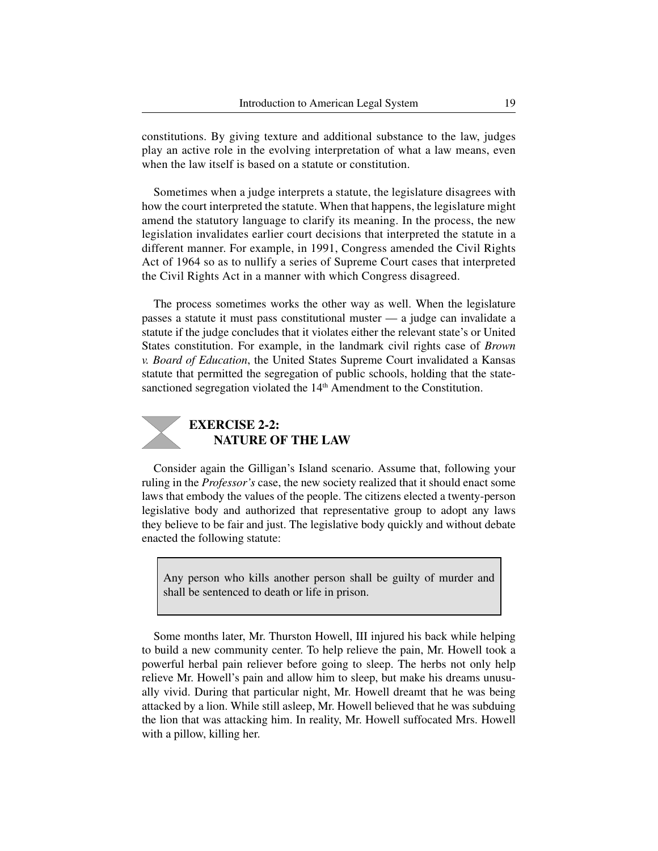constitutions. By giving texture and additional substance to the law, judges play an active role in the evolving interpretation of what a law means, even when the law itself is based on a statute or constitution.

Sometimes when a judge interprets a statute, the legislature disagrees with how the court interpreted the statute. When that happens, the legislature might amend the statutory language to clarify its meaning. In the process, the new legislation invalidates earlier court decisions that interpreted the statute in a different manner. For example, in 1991, Congress amended the Civil Rights Act of 1964 so as to nullify a series of Supreme Court cases that interpreted the Civil Rights Act in a manner with which Congress disagreed.

The process sometimes works the other way as well. When the legislature passes a statute it must pass constitutional muster — a judge can invalidate a statute if the judge concludes that it violates either the relevant state's or United States constitution. For example, in the landmark civil rights case of *Brown v. Board of Education*, the United States Supreme Court invalidated a Kansas statute that permitted the segregation of public schools, holding that the statesanctioned segregation violated the 14<sup>th</sup> Amendment to the Constitution.



# **EXERCISE 2-2: NATURE OF THE LAW**

Consider again the Gilligan's Island scenario. Assume that, following your ruling in the *Professor's* case, the new society realized that it should enact some laws that embody the values of the people. The citizens elected a twenty- person legislative body and authorized that representative group to adopt any laws they believe to be fair and just. The legislative body quickly and without debate enacted the following statute:

Any person who kills another person shall be guilty of murder and shall be sentenced to death or life in prison.

Some months later, Mr. Thurston Howell, III injured his back while helping to build a new community center. To help relieve the pain, Mr. Howell took a powerful herbal pain reliever before going to sleep. The herbs not only help relieve Mr. Howell's pain and allow him to sleep, but make his dreams unusually vivid. During that particular night, Mr. Howell dreamt that he was being attacked by a lion. While still asleep, Mr. Howell believed that he was subduing the lion that was attacking him. In reality, Mr. Howell suffocated Mrs. Howell with a pillow, killing her.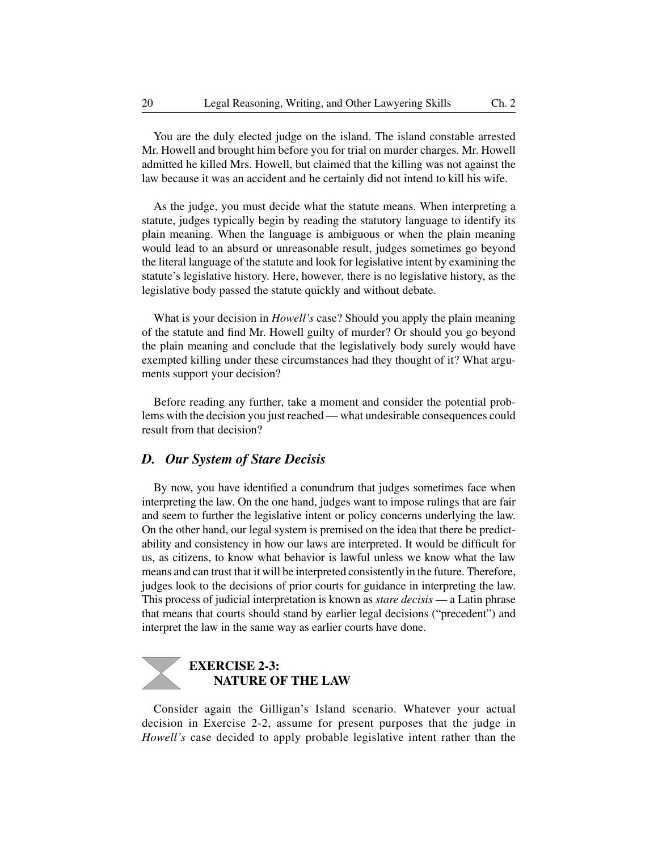You are the duly elected judge on the island. The island constable arrested Mr. Howell and brought him before you for trial on murder charges. Mr. Howell admitted he killed Mrs. Howell, but claimed that the killing was not against the law because it was an accident and he certainly did not intend to kill his wife.

As the judge, you must decide what the statute means. When interpreting a statute, judges typically begin by reading the statutory language to identify its plain meaning. When the language is ambiguous or when the plain meaning would lead to an absurd or unreasonable result, judges sometimes go beyond the literal language of the statute and look for legislative intent by examining the statute's legislative history. Here, however, there is no legislative history, as the legislative body passed the statute quickly and without debate.

What is your decision in *Howell's* case? Should you apply the plain meaning of the statute and find Mr. Howell guilty of murder? Or should you go beyond the plain meaning and conclude that the legislatively body surely would have exempted killing under these circumstances had they thought of it? What arguments support your decision?

Before reading any further, take a moment and consider the potential problems with the decision you just reached — what undesirable consequences could result from that decision?

# *D. Our System of Stare Decisis*

By now, you have identified a conundrum that judges sometimes face when interpreting the law. On the one hand, judges want to impose rulings that are fair and seem to further the legislative intent or policy concerns underlying the law. On the other hand, our legal system is premised on the idea that there be predictability and consistency in how our laws are interpreted. It would be difficult for us, as citizens, to know what behavior is lawful unless we know what the law means and can trust that it will be interpreted consistently in the future. Therefore, judges look to the decisions of prior courts for guidance in interpreting the law. This process of judicial interpretation is known as *stare decisis* — a Latin phrase that means that courts should stand by earlier legal decisions ("precedent") and interpret the law in the same way as earlier courts have done.

# **EXERCISE 2-3: NATURE OF THE LAW**

Consider again the Gilligan's Island scenario. Whatever your actual decision in Exercise 2-2, assume for present purposes that the judge in *Howell's* case decided to apply probable legislative intent rather than the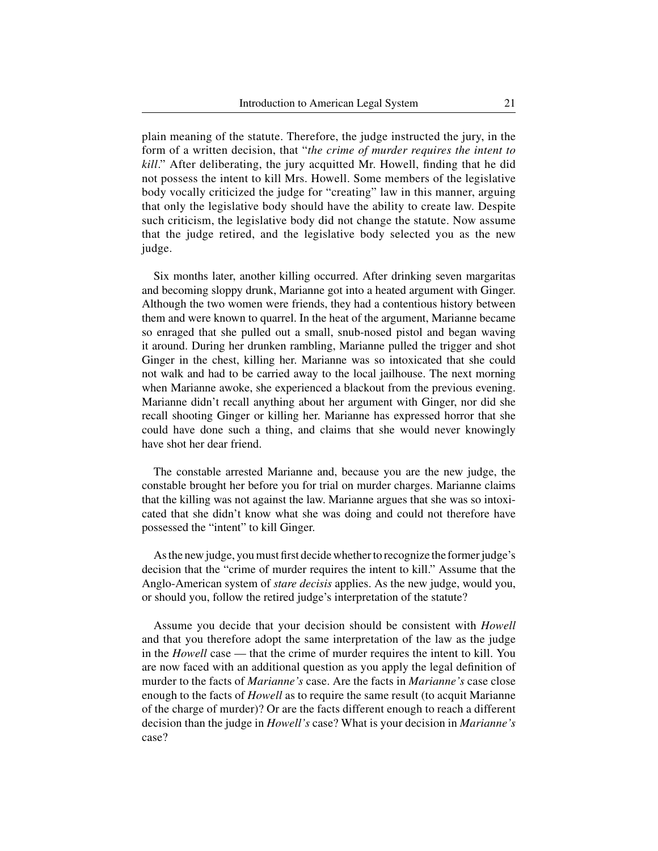plain meaning of the statute. Therefore, the judge instructed the jury, in the form of a written decision, that "*the crime of murder requires the intent to kill*." After deliberating, the jury acquitted Mr. Howell, finding that he did not possess the intent to kill Mrs. Howell. Some members of the legislative body vocally criticized the judge for "creating" law in this manner, arguing that only the legislative body should have the ability to create law. Despite such criticism, the legislative body did not change the statute. Now assume that the judge retired, and the legislative body selected you as the new judge.

Six months later, another killing occurred. After drinking seven margaritas and becoming sloppy drunk, Marianne got into a heated argument with Ginger. Although the two women were friends, they had a contentious history between them and were known to quarrel. In the heat of the argument, Marianne became so enraged that she pulled out a small, snub-nosed pistol and began waving it around. During her drunken rambling, Marianne pulled the trigger and shot Ginger in the chest, killing her. Marianne was so intoxicated that she could not walk and had to be carried away to the local jailhouse. The next morning when Marianne awoke, she experienced a blackout from the previous evening. Marianne didn't recall anything about her argument with Ginger, nor did she recall shooting Ginger or killing her. Marianne has expressed horror that she could have done such a thing, and claims that she would never knowingly have shot her dear friend.

The constable arrested Marianne and, because you are the new judge, the constable brought her before you for trial on murder charges. Marianne claims that the killing was not against the law. Marianne argues that she was so intoxicated that she didn't know what she was doing and could not therefore have possessed the "intent" to kill Ginger.

As the new judge, you must first decide whether to recognize the former judge's decision that the "crime of murder requires the intent to kill." Assume that the Anglo-American system of *stare decisis* applies. As the new judge, would you, or should you, follow the retired judge's interpretation of the statute?

Assume you decide that your decision should be consistent with *Howell* and that you therefore adopt the same interpretation of the law as the judge in the *Howell* case — that the crime of murder requires the intent to kill. You are now faced with an additional question as you apply the legal definition of murder to the facts of *Marianne's* case. Are the facts in *Marianne's* case close enough to the facts of *Howell* as to require the same result (to acquit Marianne of the charge of murder)? Or are the facts different enough to reach a different decision than the judge in *Howell's* case? What is your decision in *Marianne's* case?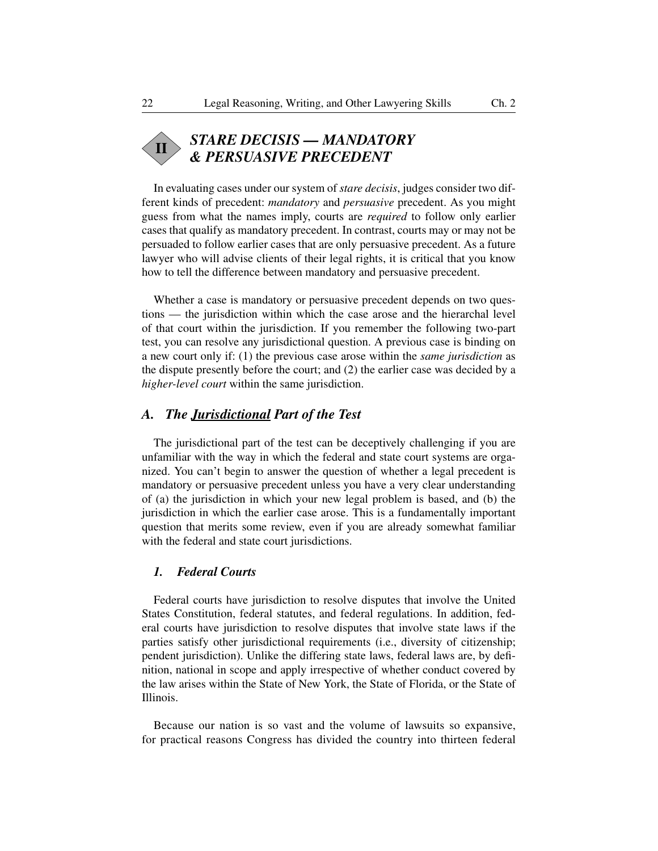#### *STARE DECISIS — MANDATORY & PERSUASIVE PRECEDENT* **II**

In evaluating cases under our system of *stare decisis*, judges consider two different kinds of precedent: *mandatory* and *persuasive* precedent. As you might guess from what the names imply, courts are *required* to follow only earlier cases that qualify as mandatory precedent. In contrast, courts may or may not be persuaded to follow earlier cases that are only persuasive precedent. As a future lawyer who will advise clients of their legal rights, it is critical that you know how to tell the difference between mandatory and persuasive precedent.

Whether a case is mandatory or persuasive precedent depends on two questions — the jurisdiction within which the case arose and the hierarchal level of that court within the jurisdiction. If you remember the following two-part test, you can resolve any jurisdictional question. A previous case is binding on a new court only if: (1) the previous case arose within the *same jurisdiction* as the dispute presently before the court; and (2) the earlier case was decided by a *higher-level court* within the same jurisdiction.

# *A. The Jurisdictional Part of the Test*

The jurisdictional part of the test can be deceptively challenging if you are unfamiliar with the way in which the federal and state court systems are organized. You can't begin to answer the question of whether a legal precedent is mandatory or persuasive precedent unless you have a very clear understanding of (a) the jurisdiction in which your new legal problem is based, and (b) the jurisdiction in which the earlier case arose. This is a fundamentally important question that merits some review, even if you are already somewhat familiar with the federal and state court jurisdictions.

#### *1. Federal Courts*

Federal courts have jurisdiction to resolve disputes that involve the United States Constitution, federal statutes, and federal regulations. In addition, federal courts have jurisdiction to resolve disputes that involve state laws if the parties satisfy other jurisdictional requirements (i.e., diversity of citizenship; pendent jurisdiction). Unlike the differing state laws, federal laws are, by definition, national in scope and apply irrespective of whether conduct covered by the law arises within the State of New York, the State of Florida, or the State of Illinois.

Because our nation is so vast and the volume of lawsuits so expansive, for practical reasons Congress has divided the country into thirteen federal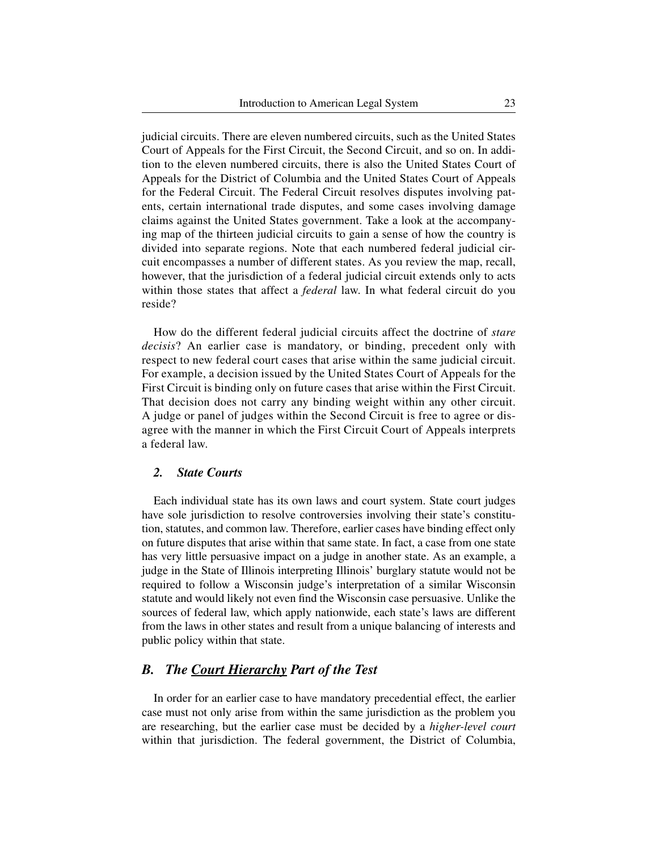judicial circuits. There are eleven numbered circuits, such as the United States Court of Appeals for the First Circuit, the Second Circuit, and so on. In addition to the eleven numbered circuits, there is also the United States Court of Appeals for the District of Columbia and the United States Court of Appeals for the Federal Circuit. The Federal Circuit resolves disputes involving patents, certain international trade disputes, and some cases involving damage claims against the United States government. Take a look at the accompanying map of the thirteen judicial circuits to gain a sense of how the country is divided into separate regions. Note that each numbered federal judicial circuit encompasses a number of different states. As you review the map, recall, however, that the jurisdiction of a federal judicial circuit extends only to acts within those states that affect a *federal* law. In what federal circuit do you reside?

How do the different federal judicial circuits affect the doctrine of *stare decisis*? An earlier case is mandatory, or binding, precedent only with respect to new federal court cases that arise within the same judicial circuit. For example, a decision issued by the United States Court of Appeals for the First Circuit is binding only on future cases that arise within the First Circuit. That decision does not carry any binding weight within any other circuit. A judge or panel of judges within the Second Circuit is free to agree or disagree with the manner in which the First Circuit Court of Appeals interprets a federal law.

# *2. State Courts*

Each individual state has its own laws and court system. State court judges have sole jurisdiction to resolve controversies involving their state's constitution, statutes, and common law. Therefore, earlier cases have binding effect only on future disputes that arise within that same state. In fact, a case from one state has very little persuasive impact on a judge in another state. As an example, a judge in the State of Illinois interpreting Illinois' burglary statute would not be required to follow a Wisconsin judge's interpretation of a similar Wisconsin statute and would likely not even find the Wisconsin case persuasive. Unlike the sources of federal law, which apply nationwide, each state's laws are different from the laws in other states and result from a unique balancing of interests and public policy within that state.

# *B. The Court Hierarchy Part of the Test*

In order for an earlier case to have mandatory precedential effect, the earlier case must not only arise from within the same jurisdiction as the problem you are researching, but the earlier case must be decided by a *higher-level court* within that jurisdiction. The federal government, the District of Columbia,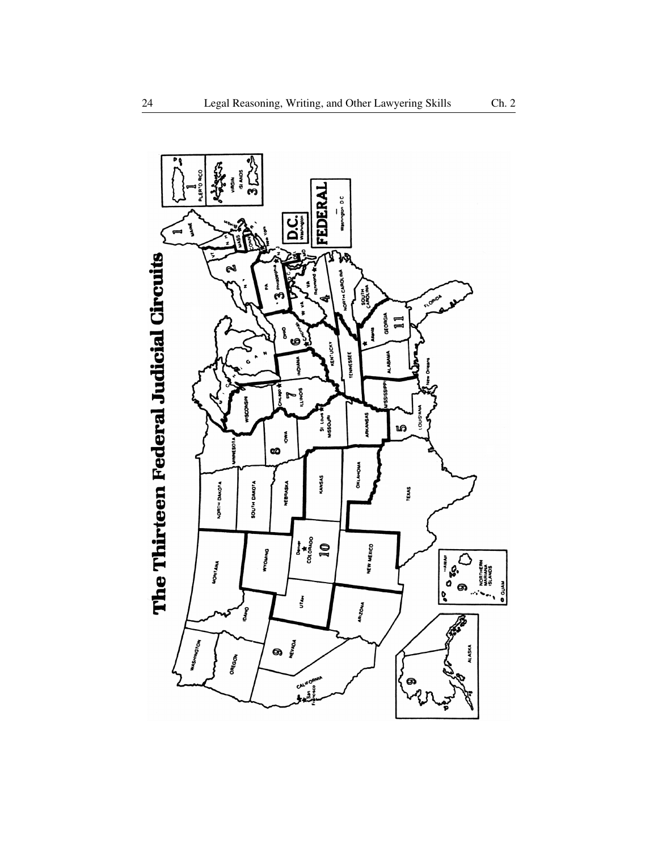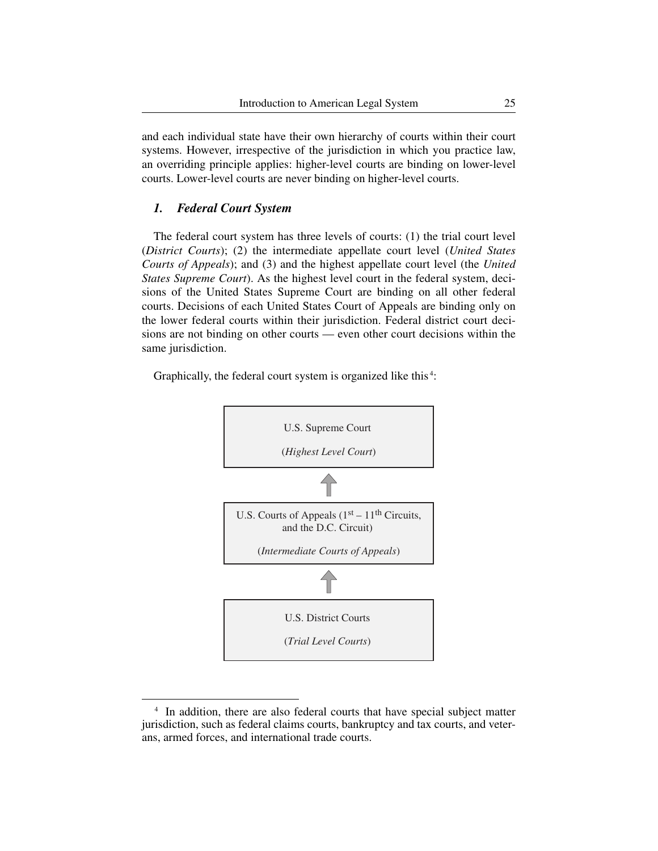and each individual state have their own hierarchy of courts within their court systems. However, irrespective of the jurisdiction in which you practice law, an overriding principle applies: higher-level courts are binding on lower-level courts. Lower-level courts are never binding on higher-level courts.

## *1. Federal Court System*

The federal court system has three levels of courts: (1) the trial court level (*District Courts*); (2) the intermediate appellate court level (*United States Courts of Appeals*); and (3) and the highest appellate court level (the *United States Supreme Court*). As the highest level court in the federal system, decisions of the United States Supreme Court are binding on all other federal courts. Decisions of each United States Court of Appeals are binding only on the lower federal courts within their jurisdiction. Federal district court decisions are not binding on other courts — even other court decisions within the same jurisdiction.

Graphically, the federal court system is organized like this<sup>4</sup>:



<sup>&</sup>lt;sup>4</sup> In addition, there are also federal courts that have special subject matter jurisdiction, such as federal claims courts, bankruptcy and tax courts, and veterans, armed forces, and international trade courts.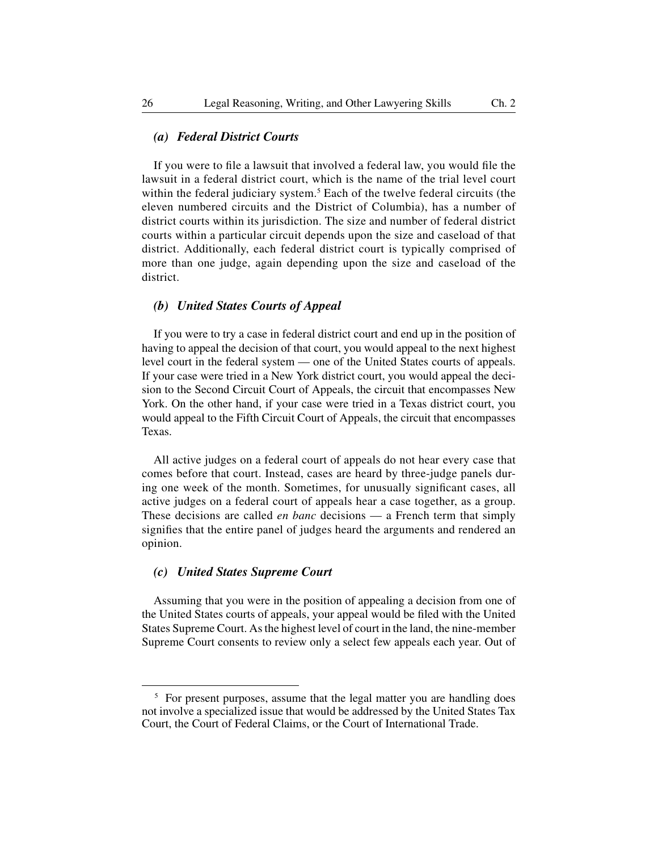# *(a) Federal District Courts*

If you were to file a lawsuit that involved a federal law, you would file the lawsuit in a federal district court, which is the name of the trial level court within the federal judiciary system.<sup>5</sup> Each of the twelve federal circuits (the eleven numbered circuits and the District of Columbia), has a number of district courts within its jurisdiction. The size and number of federal district courts within a particular circuit depends upon the size and caseload of that district. Additionally, each federal district court is typically comprised of more than one judge, again depending upon the size and caseload of the district.

#### *(b) United States Courts of Appeal*

If you were to try a case in federal district court and end up in the position of having to appeal the decision of that court, you would appeal to the next highest level court in the federal system — one of the United States courts of appeals. If your case were tried in a New York district court, you would appeal the decision to the Second Circuit Court of Appeals, the circuit that encompasses New York. On the other hand, if your case were tried in a Texas district court, you would appeal to the Fifth Circuit Court of Appeals, the circuit that encompasses Texas.

All active judges on a federal court of appeals do not hear every case that comes before that court. Instead, cases are heard by three-judge panels during one week of the month. Sometimes, for unusually significant cases, all active judges on a federal court of appeals hear a case together, as a group. These decisions are called *en banc* decisions — a French term that simply signifies that the entire panel of judges heard the arguments and rendered an opinion.

#### *(c) United States Supreme Court*

Assuming that you were in the position of appealing a decision from one of the United States courts of appeals, your appeal would be filed with the United States Supreme Court. As the highest level of court in the land, the nine- member Supreme Court consents to review only a select few appeals each year. Out of

<sup>&</sup>lt;sup>5</sup> For present purposes, assume that the legal matter you are handling does not involve a specialized issue that would be addressed by the United States Tax Court, the Court of Federal Claims, or the Court of International Trade.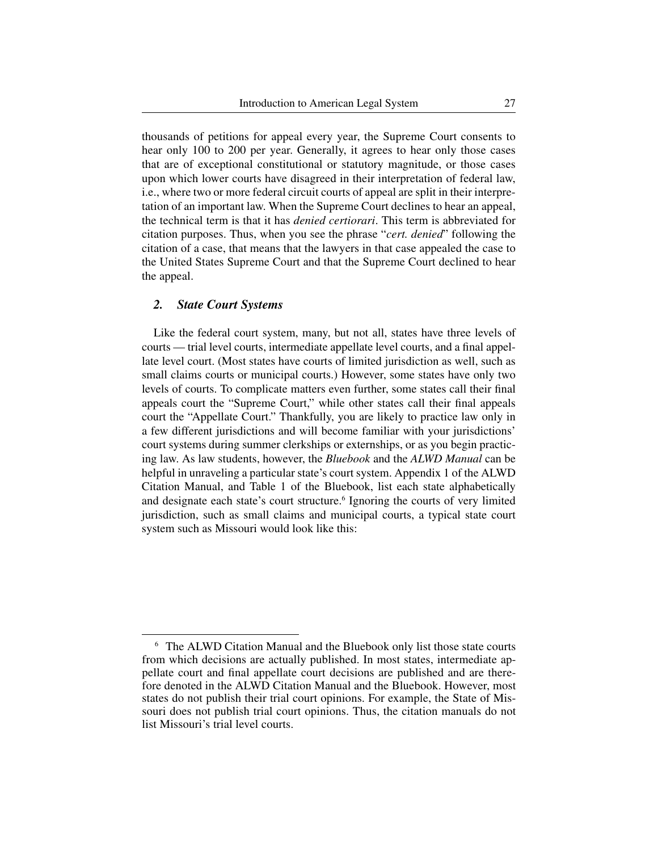thousands of petitions for appeal every year, the Supreme Court consents to hear only 100 to 200 per year. Generally, it agrees to hear only those cases that are of exceptional constitutional or statutory magnitude, or those cases upon which lower courts have disagreed in their interpretation of federal law, i.e., where two or more federal circuit courts of appeal are split in their interpretation of an important law. When the Supreme Court declines to hear an appeal, the technical term is that it has *denied certiorari*. This term is abbreviated for citation purposes. Thus, when you see the phrase "*cert. denied*" following the citation of a case, that means that the lawyers in that case appealed the case to the United States Supreme Court and that the Supreme Court declined to hear the appeal.

#### *2. State Court Systems*

Like the federal court system, many, but not all, states have three levels of courts — trial level courts, intermediate appellate level courts, and a final appellate level court. (Most states have courts of limited jurisdiction as well, such as small claims courts or municipal courts.) However, some states have only two levels of courts. To complicate matters even further, some states call their final appeals court the "Supreme Court," while other states call their final appeals court the "Appellate Court." Thankfully, you are likely to practice law only in a few different jurisdictions and will become familiar with your jurisdictions' court systems during summer clerkships or externships, or as you begin practicing law. As law students, however, the *Bluebook* and the *ALWD Manual* can be helpful in unraveling a particular state's court system. Appendix 1 of the ALWD Citation Manual, and Table 1 of the Bluebook, list each state alphabetically and designate each state's court structure.<sup>6</sup> Ignoring the courts of very limited jurisdiction, such as small claims and municipal courts, a typical state court system such as Missouri would look like this:

<sup>6</sup> The ALWD Citation Manual and the Bluebook only list those state courts from which decisions are actually published. In most states, intermediate appellate court and final appellate court decisions are published and are therefore denoted in the ALWD Citation Manual and the Bluebook. However, most states do not publish their trial court opinions. For example, the State of Missouri does not publish trial court opinions. Thus, the citation manuals do not list Missouri's trial level courts.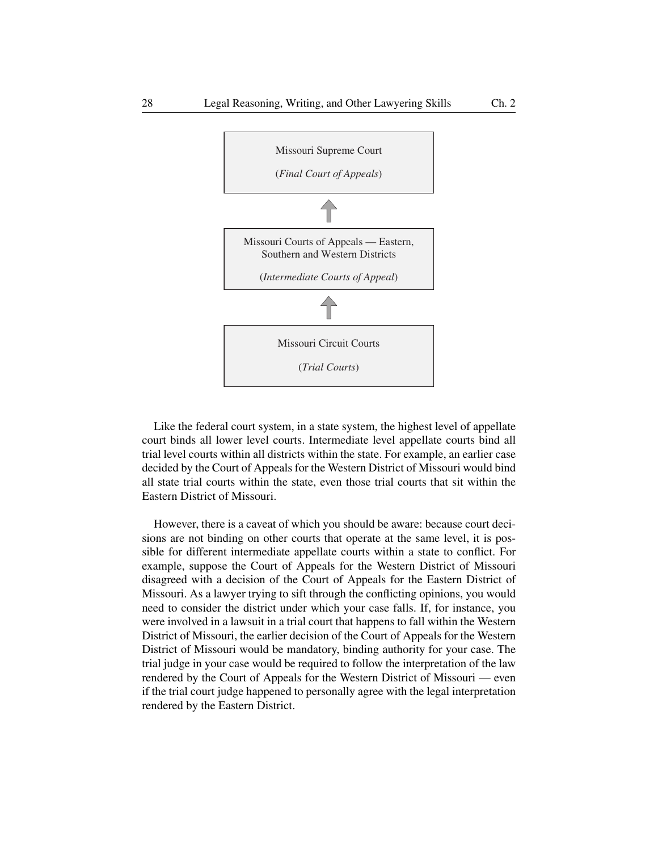

Like the federal court system, in a state system, the highest level of appellate court binds all lower level courts. Intermediate level appellate courts bind all trial level courts within all districts within the state. For example, an earlier case decided by the Court of Appeals for the Western District of Missouri would bind all state trial courts within the state, even those trial courts that sit within the Eastern District of Missouri.

However, there is a caveat of which you should be aware: because court decisions are not binding on other courts that operate at the same level, it is possible for different intermediate appellate courts within a state to conflict. For example, suppose the Court of Appeals for the Western District of Missouri disagreed with a decision of the Court of Appeals for the Eastern District of Missouri. As a lawyer trying to sift through the conflicting opinions, you would need to consider the district under which your case falls. If, for instance, you were involved in a lawsuit in a trial court that happens to fall within the Western District of Missouri, the earlier decision of the Court of Appeals for the Western District of Missouri would be mandatory, binding authority for your case. The trial judge in your case would be required to follow the interpretation of the law rendered by the Court of Appeals for the Western District of Missouri — even if the trial court judge happened to personally agree with the legal interpretation rendered by the Eastern District.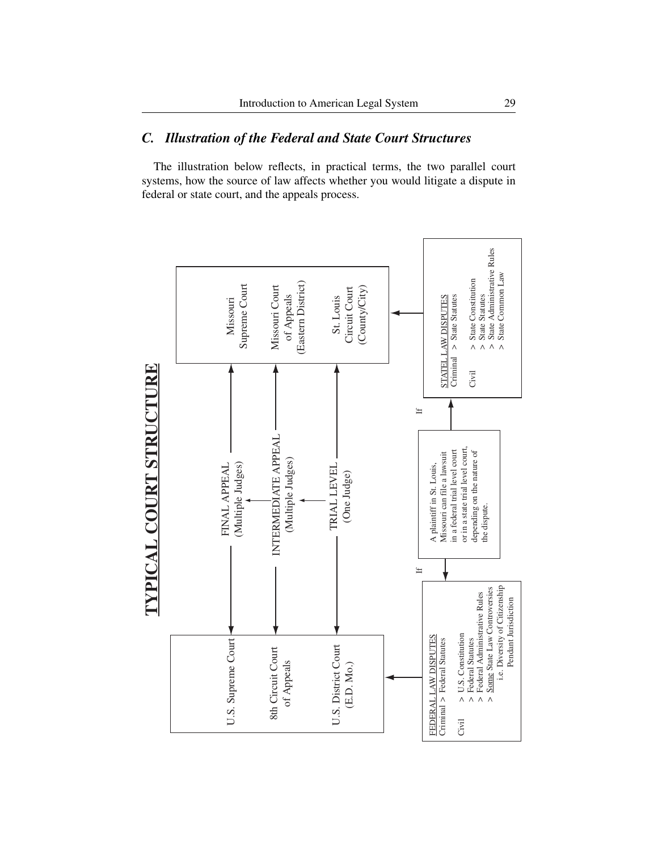# *C. Illustration of the Federal and State Court Structures*

The illustration below reflects, in practical terms, the two parallel court systems, how the source of law affects whether you would litigate a dispute in federal or state court, and the appeals process.

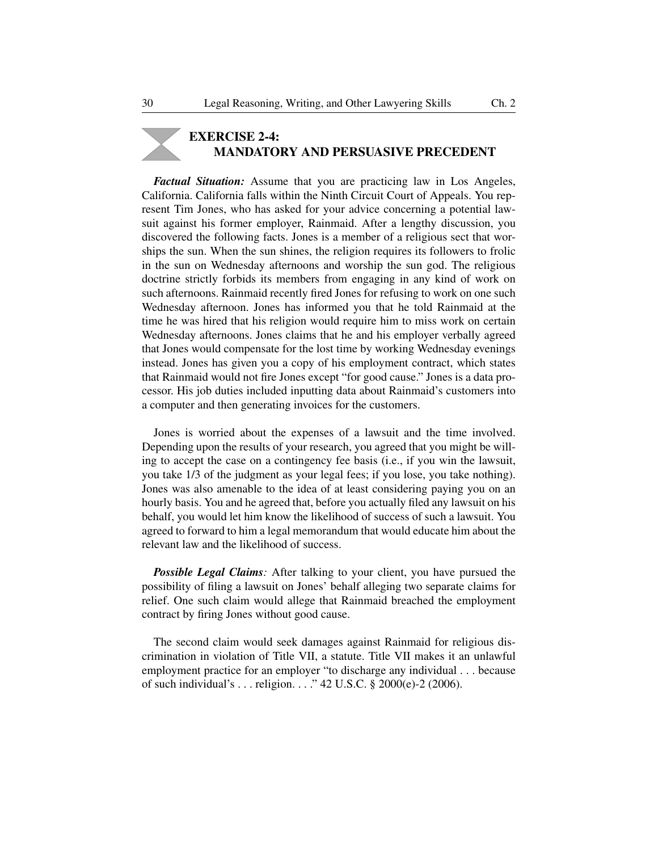# **EXERCISE 2-4: MANDATORY AND PERSUASIVE PRECEDENT**

*Factual Situation:* Assume that you are practicing law in Los Angeles, California. California falls within the Ninth Circuit Court of Appeals. You represent Tim Jones, who has asked for your advice concerning a potential lawsuit against his former employer, Rainmaid. After a lengthy discussion, you discovered the following facts. Jones is a member of a religious sect that worships the sun. When the sun shines, the religion requires its followers to frolic in the sun on Wednesday afternoons and worship the sun god. The religious doctrine strictly forbids its members from engaging in any kind of work on such afternoons. Rainmaid recently fired Jones for refusing to work on one such Wednesday afternoon. Jones has informed you that he told Rainmaid at the time he was hired that his religion would require him to miss work on certain Wednesday afternoons. Jones claims that he and his employer verbally agreed that Jones would compensate for the lost time by working Wednesday evenings instead. Jones has given you a copy of his employment contract, which states that Rainmaid would not fire Jones except "for good cause." Jones is a data processor. His job duties included inputting data about Rainmaid's customers into a computer and then generating invoices for the customers.

Jones is worried about the expenses of a lawsuit and the time involved. Depending upon the results of your research, you agreed that you might be willing to accept the case on a contingency fee basis (i.e., if you win the lawsuit, you take 1/3 of the judgment as your legal fees; if you lose, you take nothing). Jones was also amenable to the idea of at least considering paying you on an hourly basis. You and he agreed that, before you actually filed any lawsuit on his behalf, you would let him know the likelihood of success of such a lawsuit. You agreed to forward to him a legal memorandum that would educate him about the relevant law and the likelihood of success.

**Possible Legal Claims**: After talking to your client, you have pursued the possibility of filing a lawsuit on Jones' behalf alleging two separate claims for relief. One such claim would allege that Rainmaid breached the employment contract by firing Jones without good cause.

The second claim would seek damages against Rainmaid for religious discrimination in violation of Title VII, a statute. Title VII makes it an unlawful employment practice for an employer "to discharge any individual . . . because of such individual's . . . religion. . . ." 42 U.S.C. § 2000(e)-2 (2006).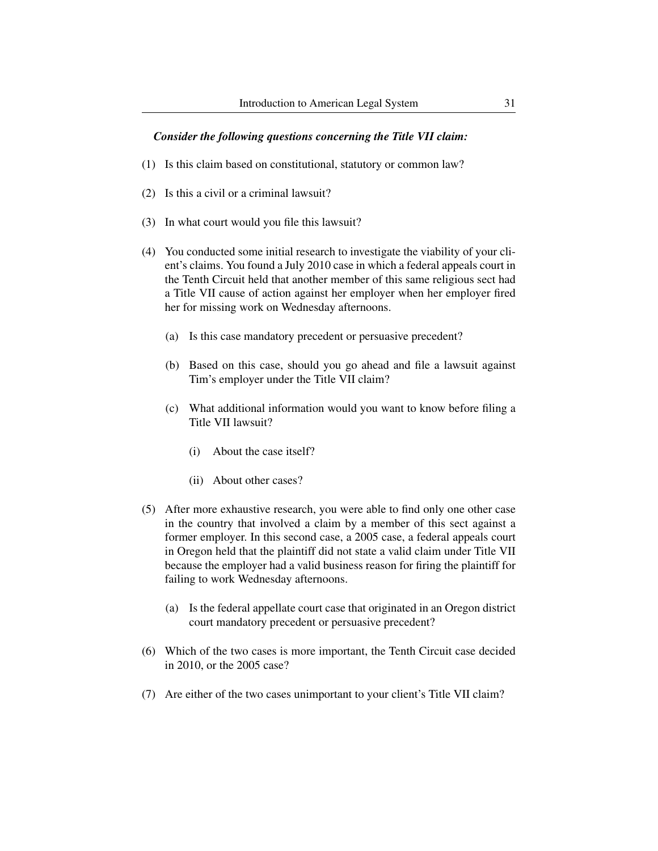#### *Consider the following questions concerning the Title VII claim:*

- (1) Is this claim based on constitutional, statutory or common law?
- (2) Is this a civil or a criminal lawsuit?
- $(3)$  In what court would you file this lawsuit?
- (4) You conducted some initial research to investigate the viability of your client's claims. You found a July 2010 case in which a federal appeals court in the Tenth Circuit held that another member of this same religious sect had a Title VII cause of action against her employer when her employer fired her for missing work on Wednesday afternoons.
	- (a) Is this case mandatory precedent or persuasive precedent?
	- (b) Based on this case, should you go ahead and file a lawsuit against Tim's employer under the Title VII claim?
	- (c) What additional information would you want to know before filing a Title VII lawsuit?
		- (i) About the case itself?
		- (ii) About other cases?
- (5) After more exhaustive research, you were able to find only one other case in the country that involved a claim by a member of this sect against a former employer. In this second case, a 2005 case, a federal appeals court in Oregon held that the plaintiff did not state a valid claim under Title VII because the employer had a valid business reason for firing the plaintiff for failing to work Wednesday afternoons.
	- (a) Is the federal appellate court case that originated in an Oregon district court mandatory precedent or persuasive precedent?
- (6) Which of the two cases is more important, the Tenth Circuit case decided in 2010, or the 2005 case?
- (7) Are either of the two cases unimportant to your client's Title VII claim?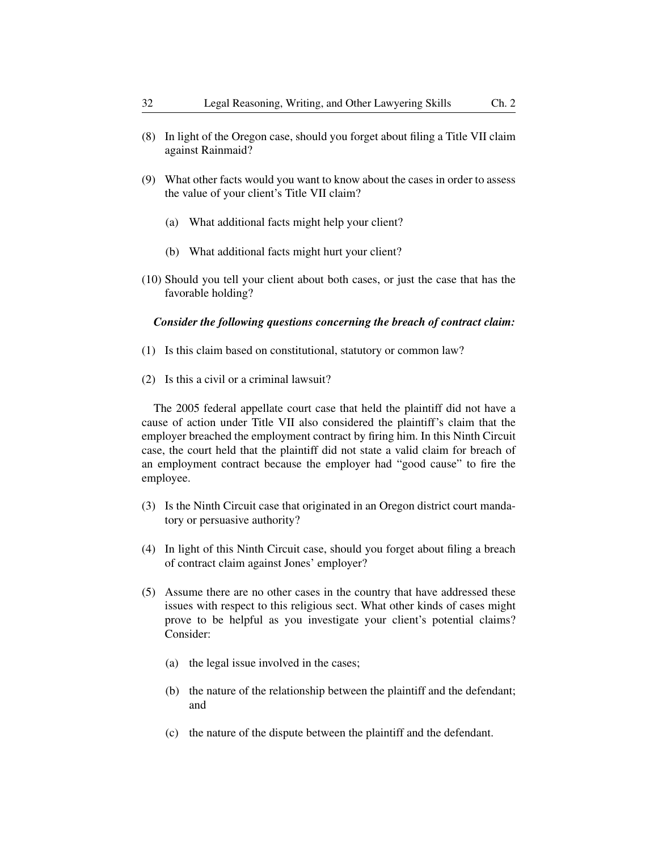- (8) In light of the Oregon case, should you forget about filing a Title VII claim against Rainmaid?
- (9) What other facts would you want to know about the cases in order to assess the value of your client's Title VII claim?
	- (a) What additional facts might help your client?
	- (b) What additional facts might hurt your client?
- (10) Should you tell your client about both cases, or just the case that has the favorable holding?

#### *Consider the following questions concerning the breach of contract claim:*

- (1) Is this claim based on constitutional, statutory or common law?
- (2) Is this a civil or a criminal lawsuit?

The 2005 federal appellate court case that held the plaintiff did not have a cause of action under Title VII also considered the plaintiff's claim that the employer breached the employment contract by firing him. In this Ninth Circuit case, the court held that the plaintiff did not state a valid claim for breach of an employment contract because the employer had "good cause" to fire the employee.

- (3) Is the Ninth Circuit case that originated in an Oregon district court mandatory or persuasive authority?
- (4) In light of this Ninth Circuit case, should you forget about filing a breach of contract claim against Jones' employer?
- (5) Assume there are no other cases in the country that have addressed these issues with respect to this religious sect. What other kinds of cases might prove to be helpful as you investigate your client's potential claims? Consider:
	- (a) the legal issue involved in the cases;
	- (b) the nature of the relationship between the plaintiff and the defendant; and
	- (c) the nature of the dispute between the plaintiff and the defendant.